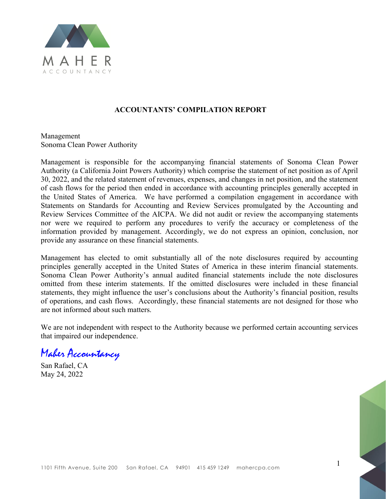

#### ACCOUNTANTS' COMPILATION REPORT

Management Sonoma Clean Power Authority

Management is responsible for the accompanying financial statements of Sonoma Clean Power Authority (a California Joint Powers Authority) which comprise the statement of net position as of April 30, 2022, and the related statement of revenues, expenses, and changes in net position, and the statement of cash flows for the period then ended in accordance with accounting principles generally accepted in the United States of America. We have performed a compilation engagement in accordance with Statements on Standards for Accounting and Review Services promulgated by the Accounting and Review Services Committee of the AICPA. We did not audit or review the accompanying statements nor were we required to perform any procedures to verify the accuracy or completeness of the information provided by management. Accordingly, we do not express an opinion, conclusion, nor provide any assurance on these financial statements.

Management has elected to omit substantially all of the note disclosures required by accounting principles generally accepted in the United States of America in these interim financial statements. Sonoma Clean Power Authority's annual audited financial statements include the note disclosures omitted from these interim statements. If the omitted disclosures were included in these financial statements, they might influence the user's conclusions about the Authority's financial position, results of operations, and cash flows. Accordingly, these financial statements are not designed for those who are not informed about such matters.

We are not independent with respect to the Authority because we performed certain accounting services that impaired our independence.

Maher Accountancy

San Rafael, CA May 24, 2022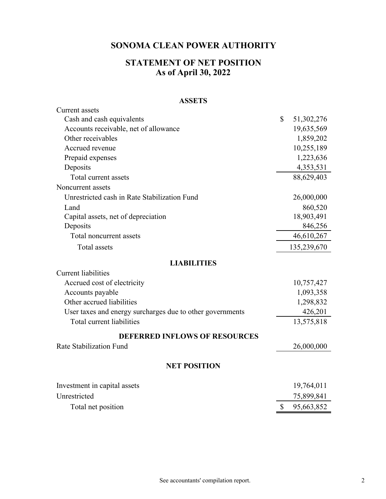# **STATEMENT OF NET POSITION As of April 30, 2022**

#### **ASSETS**

| <b>Current</b> assets                                     |              |             |
|-----------------------------------------------------------|--------------|-------------|
| Cash and cash equivalents                                 | $\mathbb{S}$ | 51,302,276  |
| Accounts receivable, net of allowance                     |              | 19,635,569  |
| Other receivables                                         |              | 1,859,202   |
| Accrued revenue                                           |              | 10,255,189  |
| Prepaid expenses                                          |              | 1,223,636   |
| Deposits                                                  |              | 4,353,531   |
| Total current assets                                      |              | 88,629,403  |
| Noncurrent assets                                         |              |             |
| Unrestricted cash in Rate Stabilization Fund              |              | 26,000,000  |
| Land                                                      |              | 860,520     |
| Capital assets, net of depreciation                       |              | 18,903,491  |
| Deposits                                                  |              | 846,256     |
| Total noncurrent assets                                   |              | 46,610,267  |
| <b>Total assets</b>                                       |              | 135,239,670 |
| <b>LIABILITIES</b>                                        |              |             |
| <b>Current liabilities</b>                                |              |             |
| Accrued cost of electricity                               |              | 10,757,427  |
| Accounts payable                                          |              | 1,093,358   |
| Other accrued liabilities                                 |              | 1,298,832   |
| User taxes and energy surcharges due to other governments |              | 426,201     |
| Total current liabilities                                 |              | 13,575,818  |
| <b>DEFERRED INFLOWS OF RESOURCES</b>                      |              |             |
| Rate Stabilization Fund                                   |              | 26,000,000  |
| <b>NET POSITION</b>                                       |              |             |
| Investment in capital assets                              |              | 19,764,011  |
| Unrestricted                                              |              | 75,899,841  |
| Total net position                                        | \$           | 95,663,852  |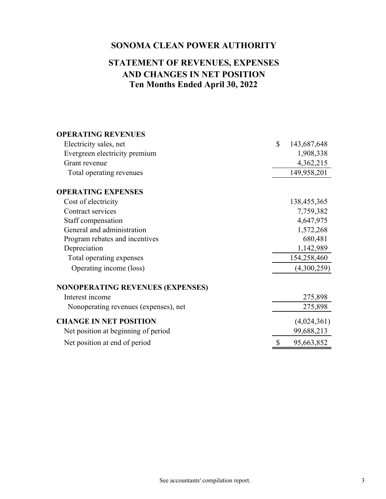# **Ten Months Ended April 30, 2022 AND CHANGES IN NET POSITION STATEMENT OF REVENUES, EXPENSES**

| <b>OPERATING REVENUES</b>               |                   |
|-----------------------------------------|-------------------|
| Electricity sales, net                  | \$<br>143,687,648 |
| Evergreen electricity premium           | 1,908,338         |
| Grant revenue                           | 4,362,215         |
| Total operating revenues                | 149,958,201       |
| <b>OPERATING EXPENSES</b>               |                   |
| Cost of electricity                     | 138,455,365       |
| Contract services                       | 7,759,382         |
| Staff compensation                      | 4,647,975         |
| General and administration              | 1,572,268         |
| Program rebates and incentives          | 680,481           |
| Depreciation                            | 1,142,989         |
| Total operating expenses                | 154,258,460       |
| Operating income (loss)                 | (4,300,259)       |
| <b>NONOPERATING REVENUES (EXPENSES)</b> |                   |
| Interest income                         | 275,898           |
| Nonoperating revenues (expenses), net   | 275,898           |
| <b>CHANGE IN NET POSITION</b>           | (4,024,361)       |
| Net position at beginning of period     | 99,688,213        |
| Net position at end of period           | 95,663,852        |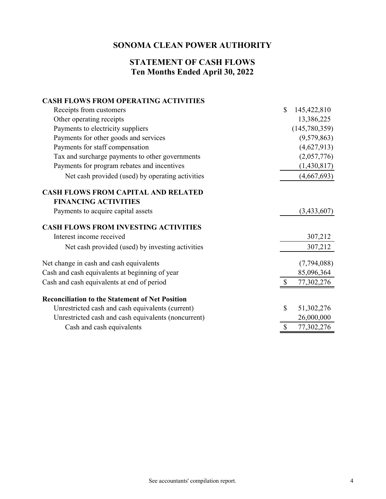#### **Ten Months Ended April 30, 2022 STATEMENT OF CASH FLOWS**

#### **CASH FLOWS FROM OPERATING ACTIVITIES**

| Receipts from customers                                | $\mathbb{S}$ | 145,422,810   |
|--------------------------------------------------------|--------------|---------------|
| Other operating receipts                               |              | 13,386,225    |
| Payments to electricity suppliers                      |              | (145,780,359) |
| Payments for other goods and services                  |              | (9,579,863)   |
| Payments for staff compensation                        |              | (4,627,913)   |
| Tax and surcharge payments to other governments        |              | (2,057,776)   |
| Payments for program rebates and incentives            |              | (1,430,817)   |
| Net cash provided (used) by operating activities       |              | (4,667,693)   |
| <b>CASH FLOWS FROM CAPITAL AND RELATED</b>             |              |               |
| <b>FINANCING ACTIVITIES</b>                            |              |               |
| Payments to acquire capital assets                     |              | (3,433,607)   |
| <b>CASH FLOWS FROM INVESTING ACTIVITIES</b>            |              |               |
| Interest income received                               |              | 307,212       |
| Net cash provided (used) by investing activities       |              | 307,212       |
| Net change in cash and cash equivalents                |              | (7,794,088)   |
| Cash and cash equivalents at beginning of year         |              | 85,096,364    |
| Cash and cash equivalents at end of period             |              | 77,302,276    |
| <b>Reconciliation to the Statement of Net Position</b> |              |               |
| Unrestricted cash and cash equivalents (current)       | \$           | 51,302,276    |
| Unrestricted cash and cash equivalents (noncurrent)    |              | 26,000,000    |
| Cash and cash equivalents                              | \$           | 77,302,276    |